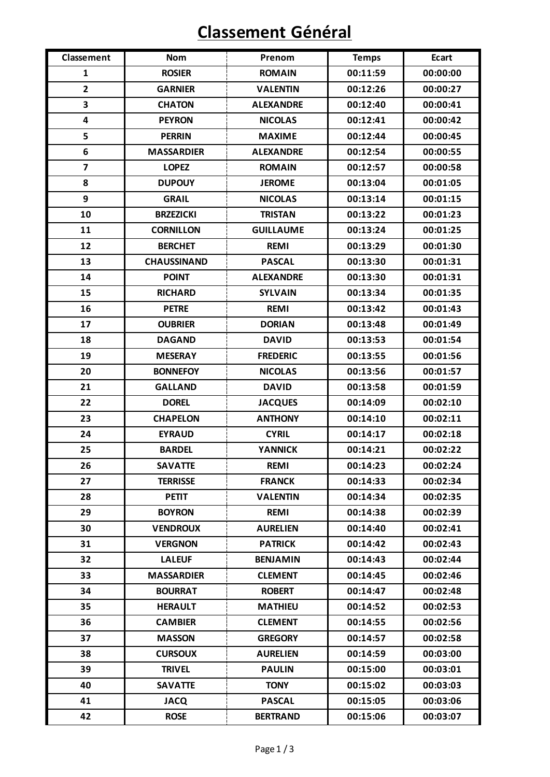## **Classement Général**

| <b>Classement</b>       | <b>Nom</b>         | Prenom           | <b>Temps</b> | <b>Ecart</b> |
|-------------------------|--------------------|------------------|--------------|--------------|
| $\mathbf{1}$            | <b>ROSIER</b>      | <b>ROMAIN</b>    | 00:11:59     | 00:00:00     |
| $\overline{2}$          | <b>GARNIER</b>     | <b>VALENTIN</b>  | 00:12:26     | 00:00:27     |
| 3                       | <b>CHATON</b>      | <b>ALEXANDRE</b> | 00:12:40     | 00:00:41     |
| $\overline{\mathbf{4}}$ | <b>PEYRON</b>      | <b>NICOLAS</b>   | 00:12:41     | 00:00:42     |
| 5                       | <b>PERRIN</b>      | <b>MAXIME</b>    | 00:12:44     | 00:00:45     |
| 6                       | <b>MASSARDIER</b>  | <b>ALEXANDRE</b> | 00:12:54     | 00:00:55     |
| $\overline{\mathbf{z}}$ | <b>LOPEZ</b>       | <b>ROMAIN</b>    | 00:12:57     | 00:00:58     |
| 8                       | <b>DUPOUY</b>      | <b>JEROME</b>    | 00:13:04     | 00:01:05     |
| 9                       | <b>GRAIL</b>       | <b>NICOLAS</b>   | 00:13:14     | 00:01:15     |
| 10                      | <b>BRZEZICKI</b>   | <b>TRISTAN</b>   | 00:13:22     | 00:01:23     |
| 11                      | <b>CORNILLON</b>   | <b>GUILLAUME</b> | 00:13:24     | 00:01:25     |
| 12                      | <b>BERCHET</b>     | <b>REMI</b>      | 00:13:29     | 00:01:30     |
| 13                      | <b>CHAUSSINAND</b> | <b>PASCAL</b>    | 00:13:30     | 00:01:31     |
| 14                      | <b>POINT</b>       | <b>ALEXANDRE</b> | 00:13:30     | 00:01:31     |
| 15                      | <b>RICHARD</b>     | <b>SYLVAIN</b>   | 00:13:34     | 00:01:35     |
| 16                      | <b>PETRE</b>       | <b>REMI</b>      | 00:13:42     | 00:01:43     |
| 17                      | <b>OUBRIER</b>     | <b>DORIAN</b>    | 00:13:48     | 00:01:49     |
| 18                      | <b>DAGAND</b>      | <b>DAVID</b>     | 00:13:53     | 00:01:54     |
| 19                      | <b>MESERAY</b>     | <b>FREDERIC</b>  | 00:13:55     | 00:01:56     |
| 20                      | <b>BONNEFOY</b>    | <b>NICOLAS</b>   | 00:13:56     | 00:01:57     |
| 21                      | <b>GALLAND</b>     | <b>DAVID</b>     | 00:13:58     | 00:01:59     |
| 22                      | <b>DOREL</b>       | <b>JACQUES</b>   | 00:14:09     | 00:02:10     |
| 23                      | <b>CHAPELON</b>    | <b>ANTHONY</b>   | 00:14:10     | 00:02:11     |
| 24                      | <b>EYRAUD</b>      | <b>CYRIL</b>     | 00:14:17     | 00:02:18     |
| 25                      | <b>BARDEL</b>      | <b>YANNICK</b>   | 00:14:21     | 00:02:22     |
| 26                      | <b>SAVATTE</b>     | <b>REMI</b>      | 00:14:23     | 00:02:24     |
| 27                      | <b>TERRISSE</b>    | <b>FRANCK</b>    | 00:14:33     | 00:02:34     |
| 28                      | <b>PETIT</b>       | <b>VALENTIN</b>  | 00:14:34     | 00:02:35     |
| 29                      | <b>BOYRON</b>      | <b>REMI</b>      | 00:14:38     | 00:02:39     |
| 30                      | <b>VENDROUX</b>    | <b>AURELIEN</b>  | 00:14:40     | 00:02:41     |
| 31                      | <b>VERGNON</b>     | <b>PATRICK</b>   | 00:14:42     | 00:02:43     |
| 32                      | <b>LALEUF</b>      | <b>BENJAMIN</b>  | 00:14:43     | 00:02:44     |
| 33                      | <b>MASSARDIER</b>  | <b>CLEMENT</b>   | 00:14:45     | 00:02:46     |
| 34                      | <b>BOURRAT</b>     | <b>ROBERT</b>    | 00:14:47     | 00:02:48     |
| 35                      | <b>HERAULT</b>     | <b>MATHIEU</b>   | 00:14:52     | 00:02:53     |
| 36                      | <b>CAMBIER</b>     | <b>CLEMENT</b>   | 00:14:55     | 00:02:56     |
| 37                      | <b>MASSON</b>      | <b>GREGORY</b>   | 00:14:57     | 00:02:58     |
| 38                      | <b>CURSOUX</b>     | <b>AURELIEN</b>  | 00:14:59     | 00:03:00     |
| 39                      | <b>TRIVEL</b>      | <b>PAULIN</b>    | 00:15:00     | 00:03:01     |
| 40                      | <b>SAVATTE</b>     | <b>TONY</b>      | 00:15:02     | 00:03:03     |
| 41                      | <b>JACQ</b>        | <b>PASCAL</b>    | 00:15:05     | 00:03:06     |
| 42                      | <b>ROSE</b>        | <b>BERTRAND</b>  | 00:15:06     | 00:03:07     |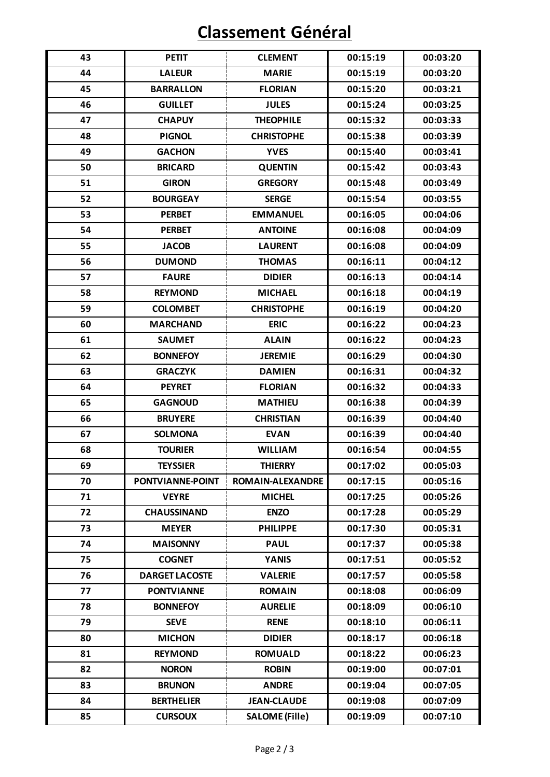## **Classement Général**

| 43 | <b>PETIT</b>          | <b>CLEMENT</b>          | 00:15:19 | 00:03:20 |
|----|-----------------------|-------------------------|----------|----------|
| 44 | <b>LALEUR</b>         | <b>MARIE</b>            | 00:15:19 | 00:03:20 |
| 45 | <b>BARRALLON</b>      | <b>FLORIAN</b>          | 00:15:20 | 00:03:21 |
| 46 | <b>GUILLET</b>        | <b>JULES</b>            | 00:15:24 | 00:03:25 |
| 47 | <b>CHAPUY</b>         | <b>THEOPHILE</b>        | 00:15:32 | 00:03:33 |
| 48 | <b>PIGNOL</b>         | <b>CHRISTOPHE</b>       | 00:15:38 | 00:03:39 |
| 49 | <b>GACHON</b>         | <b>YVES</b>             | 00:15:40 | 00:03:41 |
| 50 | <b>BRICARD</b>        | <b>QUENTIN</b>          | 00:15:42 | 00:03:43 |
| 51 | <b>GIRON</b>          | <b>GREGORY</b>          | 00:15:48 | 00:03:49 |
| 52 | <b>BOURGEAY</b>       | <b>SERGE</b>            | 00:15:54 | 00:03:55 |
| 53 | <b>PERBET</b>         | <b>EMMANUEL</b>         | 00:16:05 | 00:04:06 |
| 54 | <b>PERBET</b>         | <b>ANTOINE</b>          | 00:16:08 | 00:04:09 |
| 55 | <b>JACOB</b>          | <b>LAURENT</b>          | 00:16:08 | 00:04:09 |
| 56 | <b>DUMOND</b>         | <b>THOMAS</b>           | 00:16:11 | 00:04:12 |
| 57 | <b>FAURE</b>          | <b>DIDIER</b>           | 00:16:13 | 00:04:14 |
| 58 | <b>REYMOND</b>        | <b>MICHAEL</b>          | 00:16:18 | 00:04:19 |
| 59 | <b>COLOMBET</b>       | <b>CHRISTOPHE</b>       | 00:16:19 | 00:04:20 |
| 60 | <b>MARCHAND</b>       | <b>ERIC</b>             | 00:16:22 | 00:04:23 |
| 61 | <b>SAUMET</b>         | <b>ALAIN</b>            | 00:16:22 | 00:04:23 |
| 62 | <b>BONNEFOY</b>       | <b>JEREMIE</b>          | 00:16:29 | 00:04:30 |
| 63 | <b>GRACZYK</b>        | <b>DAMIEN</b>           | 00:16:31 | 00:04:32 |
| 64 | <b>PEYRET</b>         | <b>FLORIAN</b>          | 00:16:32 | 00:04:33 |
| 65 | <b>GAGNOUD</b>        | <b>MATHIEU</b>          | 00:16:38 | 00:04:39 |
| 66 | <b>BRUYERE</b>        | <b>CHRISTIAN</b>        | 00:16:39 | 00:04:40 |
| 67 | <b>SOLMONA</b>        | <b>EVAN</b>             | 00:16:39 | 00:04:40 |
| 68 | <b>TOURIER</b>        | <b>WILLIAM</b>          | 00:16:54 | 00:04:55 |
| 69 | TEYSSIER              | THIERRY                 | 00:17:02 | 00:05:03 |
| 70 | PONTVIANNE-POINT      | <b>ROMAIN-ALEXANDRE</b> | 00:17:15 | 00:05:16 |
| 71 | <b>VEYRE</b>          | <b>MICHEL</b>           | 00:17:25 | 00:05:26 |
| 72 | <b>CHAUSSINAND</b>    | <b>ENZO</b>             | 00:17:28 | 00:05:29 |
| 73 | <b>MEYER</b>          | <b>PHILIPPE</b>         | 00:17:30 | 00:05:31 |
| 74 | <b>MAISONNY</b>       | <b>PAUL</b>             | 00:17:37 | 00:05:38 |
| 75 | <b>COGNET</b>         | <b>YANIS</b>            | 00:17:51 | 00:05:52 |
| 76 | <b>DARGET LACOSTE</b> | <b>VALERIE</b>          | 00:17:57 | 00:05:58 |
| 77 | <b>PONTVIANNE</b>     | <b>ROMAIN</b>           | 00:18:08 | 00:06:09 |
| 78 | <b>BONNEFOY</b>       | <b>AURELIE</b>          | 00:18:09 | 00:06:10 |
| 79 | <b>SEVE</b>           | <b>RENE</b>             | 00:18:10 | 00:06:11 |
| 80 | <b>MICHON</b>         | <b>DIDIER</b>           | 00:18:17 | 00:06:18 |
| 81 | <b>REYMOND</b>        | <b>ROMUALD</b>          | 00:18:22 | 00:06:23 |
| 82 | <b>NORON</b>          | <b>ROBIN</b>            | 00:19:00 | 00:07:01 |
| 83 | <b>BRUNON</b>         | <b>ANDRE</b>            | 00:19:04 | 00:07:05 |
| 84 | <b>BERTHELIER</b>     | <b>JEAN-CLAUDE</b>      | 00:19:08 | 00:07:09 |
| 85 | <b>CURSOUX</b>        | <b>SALOME (Fille)</b>   | 00:19:09 | 00:07:10 |